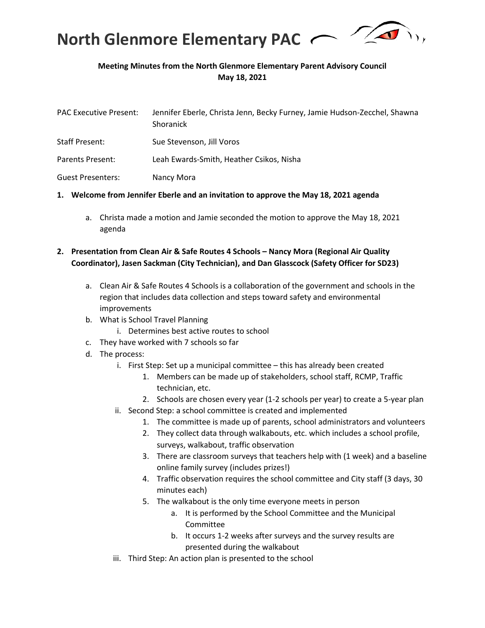

# **Meeting Minutes from the North Glenmore Elementary Parent Advisory Council May 18, 2021**

| <b>PAC Executive Present:</b> | Jennifer Eberle, Christa Jenn, Becky Furney, Jamie Hudson-Zecchel, Shawna<br>Shoranick |
|-------------------------------|----------------------------------------------------------------------------------------|
| <b>Staff Present:</b>         | Sue Stevenson, Jill Voros                                                              |
| Parents Present:              | Leah Ewards-Smith, Heather Csikos, Nisha                                               |
| <b>Guest Presenters:</b>      | Nancy Mora                                                                             |

#### **1. Welcome from Jennifer Eberle and an invitation to approve the May 18, 2021 agenda**

a. Christa made a motion and Jamie seconded the motion to approve the May 18, 2021 agenda

### **2. Presentation from Clean Air & Safe Routes 4 Schools – Nancy Mora (Regional Air Quality Coordinator), Jasen Sackman (City Technician), and Dan Glasscock (Safety Officer for SD23)**

- a. Clean Air & Safe Routes 4 Schools is a collaboration of the government and schools in the region that includes data collection and steps toward safety and environmental improvements
- b. What is School Travel Planning
	- i. Determines best active routes to school
- c. They have worked with 7 schools so far
- d. The process:
	- i. First Step: Set up a municipal committee this has already been created
		- 1. Members can be made up of stakeholders, school staff, RCMP, Traffic technician, etc.
		- 2. Schools are chosen every year (1-2 schools per year) to create a 5-year plan
	- ii. Second Step: a school committee is created and implemented
		- 1. The committee is made up of parents, school administrators and volunteers
		- 2. They collect data through walkabouts, etc. which includes a school profile, surveys, walkabout, traffic observation
		- 3. There are classroom surveys that teachers help with (1 week) and a baseline online family survey (includes prizes!)
		- 4. Traffic observation requires the school committee and City staff (3 days, 30 minutes each)
		- 5. The walkabout is the only time everyone meets in person
			- a. It is performed by the School Committee and the Municipal Committee
			- b. It occurs 1-2 weeks after surveys and the survey results are presented during the walkabout
	- iii. Third Step: An action plan is presented to the school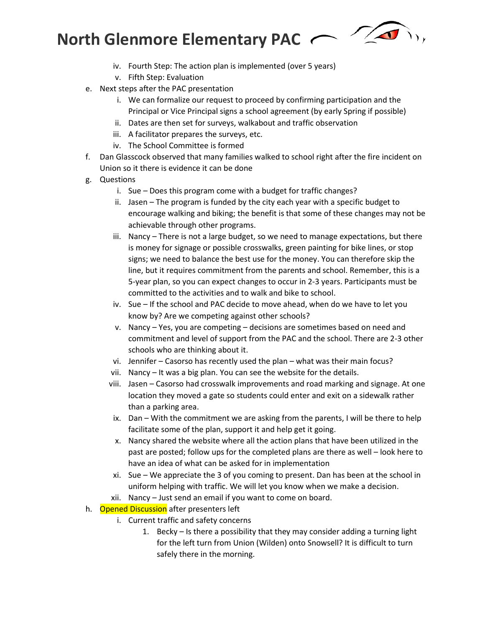

- iv. Fourth Step: The action plan is implemented (over 5 years)
- v. Fifth Step: Evaluation
- e. Next steps after the PAC presentation
	- i. We can formalize our request to proceed by confirming participation and the Principal or Vice Principal signs a school agreement (by early Spring if possible)
	- ii. Dates are then set for surveys, walkabout and traffic observation
	- iii. A facilitator prepares the surveys, etc.
	- iv. The School Committee is formed
- f. Dan Glasscock observed that many families walked to school right after the fire incident on Union so it there is evidence it can be done
- g. Questions
	- i. Sue Does this program come with a budget for traffic changes?
	- ii. Jasen The program is funded by the city each year with a specific budget to encourage walking and biking; the benefit is that some of these changes may not be achievable through other programs.
	- iii. Nancy There is not a large budget, so we need to manage expectations, but there is money for signage or possible crosswalks, green painting for bike lines, or stop signs; we need to balance the best use for the money. You can therefore skip the line, but it requires commitment from the parents and school. Remember, this is a 5-year plan, so you can expect changes to occur in 2-3 years. Participants must be committed to the activities and to walk and bike to school.
	- iv. Sue If the school and PAC decide to move ahead, when do we have to let you know by? Are we competing against other schools?
	- v. Nancy Yes, you are competing decisions are sometimes based on need and commitment and level of support from the PAC and the school. There are 2-3 other schools who are thinking about it.
	- vi. Jennifer Casorso has recently used the plan what was their main focus?
	- vii. Nancy It was a big plan. You can see the website for the details.
	- viii. Jasen Casorso had crosswalk improvements and road marking and signage. At one location they moved a gate so students could enter and exit on a sidewalk rather than a parking area.
	- ix. Dan With the commitment we are asking from the parents, I will be there to help facilitate some of the plan, support it and help get it going.
	- x. Nancy shared the website where all the action plans that have been utilized in the past are posted; follow ups for the completed plans are there as well – look here to have an idea of what can be asked for in implementation
	- xi. Sue We appreciate the 3 of you coming to present. Dan has been at the school in uniform helping with traffic. We will let you know when we make a decision.
	- xii. Nancy Just send an email if you want to come on board.
- h. Opened Discussion after presenters left
	- i. Current traffic and safety concerns
		- 1. Becky Is there a possibility that they may consider adding a turning light for the left turn from Union (Wilden) onto Snowsell? It is difficult to turn safely there in the morning.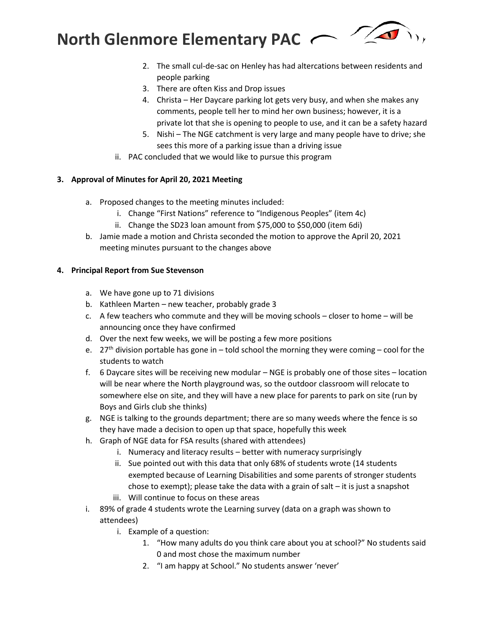

- 2. The small cul-de-sac on Henley has had altercations between residents and people parking
- 3. There are often Kiss and Drop issues
- 4. Christa Her Daycare parking lot gets very busy, and when she makes any comments, people tell her to mind her own business; however, it is a private lot that she is opening to people to use, and it can be a safety hazard
- 5. Nishi The NGE catchment is very large and many people have to drive; she sees this more of a parking issue than a driving issue
- ii. PAC concluded that we would like to pursue this program

# **3. Approval of Minutes for April 20, 2021 Meeting**

- a. Proposed changes to the meeting minutes included:
	- i. Change "First Nations" reference to "Indigenous Peoples" (item 4c)
	- ii. Change the SD23 loan amount from \$75,000 to \$50,000 (item 6di)
- b. Jamie made a motion and Christa seconded the motion to approve the April 20, 2021 meeting minutes pursuant to the changes above

# **4. Principal Report from Sue Stevenson**

- a. We have gone up to 71 divisions
- b. Kathleen Marten new teacher, probably grade 3
- c. A few teachers who commute and they will be moving schools closer to home will be announcing once they have confirmed
- d. Over the next few weeks, we will be posting a few more positions
- e. 27<sup>th</sup> division portable has gone in told school the morning they were coming cool for the students to watch
- f. 6 Daycare sites will be receiving new modular NGE is probably one of those sites location will be near where the North playground was, so the outdoor classroom will relocate to somewhere else on site, and they will have a new place for parents to park on site (run by Boys and Girls club she thinks)
- g. NGE is talking to the grounds department; there are so many weeds where the fence is so they have made a decision to open up that space, hopefully this week
- h. Graph of NGE data for FSA results (shared with attendees)
	- i. Numeracy and literacy results better with numeracy surprisingly
	- ii. Sue pointed out with this data that only 68% of students wrote (14 students exempted because of Learning Disabilities and some parents of stronger students chose to exempt); please take the data with a grain of salt – it is just a snapshot iii. Will continue to focus on these areas
- i. 89% of grade 4 students wrote the Learning survey (data on a graph was shown to attendees)
	- i. Example of a question:
		- 1. "How many adults do you think care about you at school?" No students said 0 and most chose the maximum number
		- 2. "I am happy at School." No students answer 'never'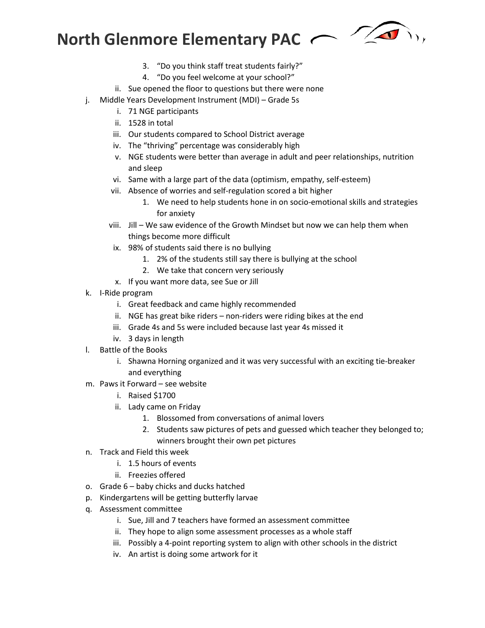- 3. "Do you think staff treat students fairly?"
- 4. "Do you feel welcome at your school?"
- ii. Sue opened the floor to questions but there were none
- j. Middle Years Development Instrument (MDI) Grade 5s
	- i. 71 NGE participants
	- ii. 1528 in total
	- iii. Our students compared to School District average
	- iv. The "thriving" percentage was considerably high
	- v. NGE students were better than average in adult and peer relationships, nutrition and sleep
	- vi. Same with a large part of the data (optimism, empathy, self-esteem)
	- vii. Absence of worries and self-regulation scored a bit higher
		- 1. We need to help students hone in on socio-emotional skills and strategies for anxiety
	- viii. Jill We saw evidence of the Growth Mindset but now we can help them when things become more difficult
	- ix. 98% of students said there is no bullying
		- 1. 2% of the students still say there is bullying at the school
		- 2. We take that concern very seriously
	- x. If you want more data, see Sue or Jill
- k. I-Ride program
	- i. Great feedback and came highly recommended
	- ii. NGE has great bike riders non-riders were riding bikes at the end
	- iii. Grade 4s and 5s were included because last year 4s missed it
	- iv. 3 days in length
- l. Battle of the Books
	- i. Shawna Horning organized and it was very successful with an exciting tie-breaker and everything
- m. Paws it Forward see website
	- i. Raised \$1700
	- ii. Lady came on Friday
		- 1. Blossomed from conversations of animal lovers
		- 2. Students saw pictures of pets and guessed which teacher they belonged to; winners brought their own pet pictures
- n. Track and Field this week
	- i. 1.5 hours of events
	- ii. Freezies offered
- o. Grade 6 baby chicks and ducks hatched
- p. Kindergartens will be getting butterfly larvae
- q. Assessment committee
	- i. Sue, Jill and 7 teachers have formed an assessment committee
	- ii. They hope to align some assessment processes as a whole staff
	- iii. Possibly a 4-point reporting system to align with other schools in the district
	- iv. An artist is doing some artwork for it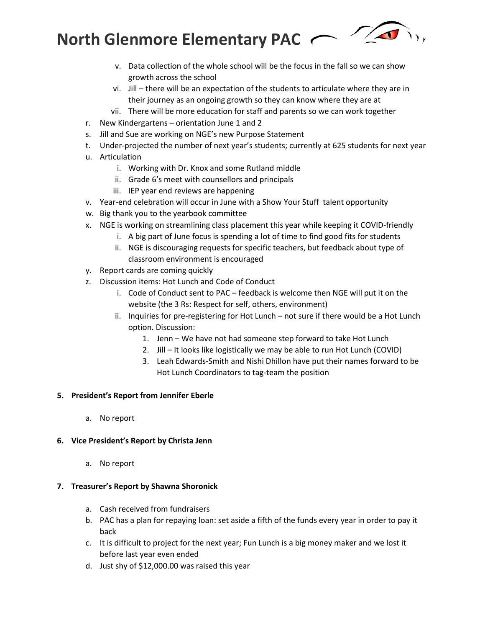

- v. Data collection of the whole school will be the focus in the fall so we can show growth across the school
- vi. Jill there will be an expectation of the students to articulate where they are in their journey as an ongoing growth so they can know where they are at
- vii. There will be more education for staff and parents so we can work together
- r. New Kindergartens orientation June 1 and 2
- s. Jill and Sue are working on NGE's new Purpose Statement
- t. Under-projected the number of next year's students; currently at 625 students for next year
- u. Articulation
	- i. Working with Dr. Knox and some Rutland middle
	- ii. Grade 6's meet with counsellors and principals
	- iii. IEP year end reviews are happening
- v. Year-end celebration will occur in June with a Show Your Stuff talent opportunity
- w. Big thank you to the yearbook committee
- x. NGE is working on streamlining class placement this year while keeping it COVID-friendly
	- i. A big part of June focus is spending a lot of time to find good fits for students
	- ii. NGE is discouraging requests for specific teachers, but feedback about type of classroom environment is encouraged
- y. Report cards are coming quickly
- z. Discussion items: Hot Lunch and Code of Conduct
	- i. Code of Conduct sent to PAC feedback is welcome then NGE will put it on the website (the 3 Rs: Respect for self, others, environment)
	- ii. Inquiries for pre-registering for Hot Lunch not sure if there would be a Hot Lunch option. Discussion:
		- 1. Jenn We have not had someone step forward to take Hot Lunch
		- 2. Jill It looks like logistically we may be able to run Hot Lunch (COVID)
		- 3. Leah Edwards-Smith and Nishi Dhillon have put their names forward to be Hot Lunch Coordinators to tag-team the position

# **5. President's Report from Jennifer Eberle**

a. No report

# **6. Vice President's Report by Christa Jenn**

a. No report

# **7. Treasurer's Report by Shawna Shoronick**

- a. Cash received from fundraisers
- b. PAC has a plan for repaying loan: set aside a fifth of the funds every year in order to pay it back
- c. It is difficult to project for the next year; Fun Lunch is a big money maker and we lost it before last year even ended
- d. Just shy of \$12,000.00 was raised this year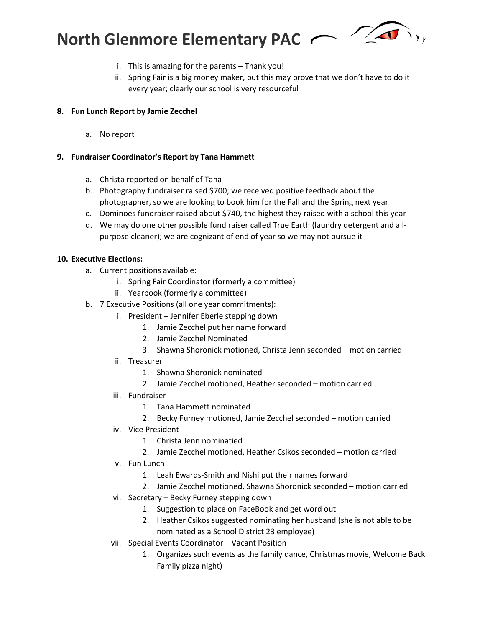

- i. This is amazing for the parents Thank you!
- ii. Spring Fair is a big money maker, but this may prove that we don't have to do it every year; clearly our school is very resourceful

#### **8. Fun Lunch Report by Jamie Zecchel**

a. No report

#### **9. Fundraiser Coordinator's Report by Tana Hammett**

- a. Christa reported on behalf of Tana
- b. Photography fundraiser raised \$700; we received positive feedback about the photographer, so we are looking to book him for the Fall and the Spring next year
- c. Dominoes fundraiser raised about \$740, the highest they raised with a school this year
- d. We may do one other possible fund raiser called True Earth (laundry detergent and allpurpose cleaner); we are cognizant of end of year so we may not pursue it

#### **10. Executive Elections:**

- a. Current positions available:
	- i. Spring Fair Coordinator (formerly a committee)
	- ii. Yearbook (formerly a committee)
- b. 7 Executive Positions (all one year commitments):
	- i. President Jennifer Eberle stepping down
		- 1. Jamie Zecchel put her name forward
		- 2. Jamie Zecchel Nominated
		- 3. Shawna Shoronick motioned, Christa Jenn seconded motion carried
	- ii. Treasurer
		- 1. Shawna Shoronick nominated
		- 2. Jamie Zecchel motioned, Heather seconded motion carried
	- iii. Fundraiser
		- 1. Tana Hammett nominated
		- 2. Becky Furney motioned, Jamie Zecchel seconded motion carried
	- iv. Vice President
		- 1. Christa Jenn nominatied
		- 2. Jamie Zecchel motioned, Heather Csikos seconded motion carried
	- v. Fun Lunch
		- 1. Leah Ewards-Smith and Nishi put their names forward
		- 2. Jamie Zecchel motioned, Shawna Shoronick seconded motion carried
	- vi. Secretary Becky Furney stepping down
		- 1. Suggestion to place on FaceBook and get word out
		- 2. Heather Csikos suggested nominating her husband (she is not able to be nominated as a School District 23 employee)
	- vii. Special Events Coordinator Vacant Position
		- 1. Organizes such events as the family dance, Christmas movie, Welcome Back Family pizza night)